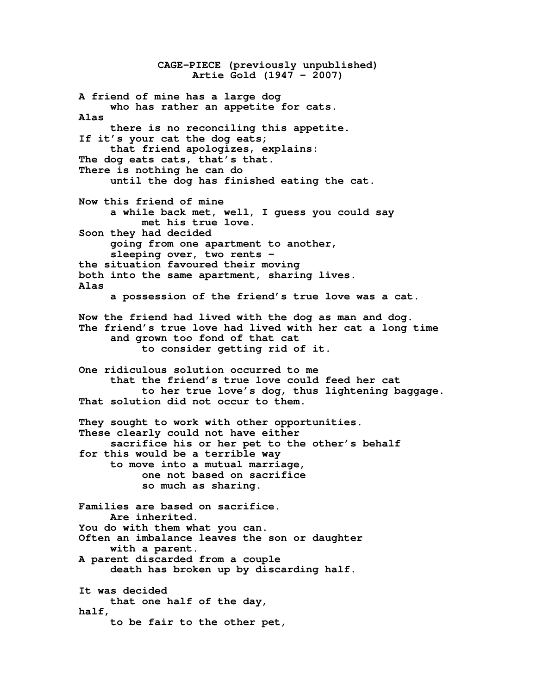**CAGE-PIECE (previously unpublished) Artie Gold (1947 – 2007) A friend of mine has a large dog who has rather an appetite for cats. Alas there is no reconciling this appetite. If it's your cat the dog eats; that friend apologizes, explains: The dog eats cats, that's that. There is nothing he can do until the dog has finished eating the cat. Now this friend of mine a while back met, well, I guess you could say met his true love. Soon they had decided going from one apartment to another, sleeping over, two rents – the situation favoured their moving both into the same apartment, sharing lives. Alas a possession of the friend's true love was a cat. Now the friend had lived with the dog as man and dog. The friend's true love had lived with her cat a long time and grown too fond of that cat to consider getting rid of it. One ridiculous solution occurred to me that the friend's true love could feed her cat to her true love's dog, thus lightening baggage. That solution did not occur to them. They sought to work with other opportunities. These clearly could not have either sacrifice his or her pet to the other's behalf for this would be a terrible way to move into a mutual marriage, one not based on sacrifice so much as sharing. Families are based on sacrifice. Are inherited. You do with them what you can. Often an imbalance leaves the son or daughter with a parent. A parent discarded from a couple death has broken up by discarding half. It was decided that one half of the day, half, to be fair to the other pet,**